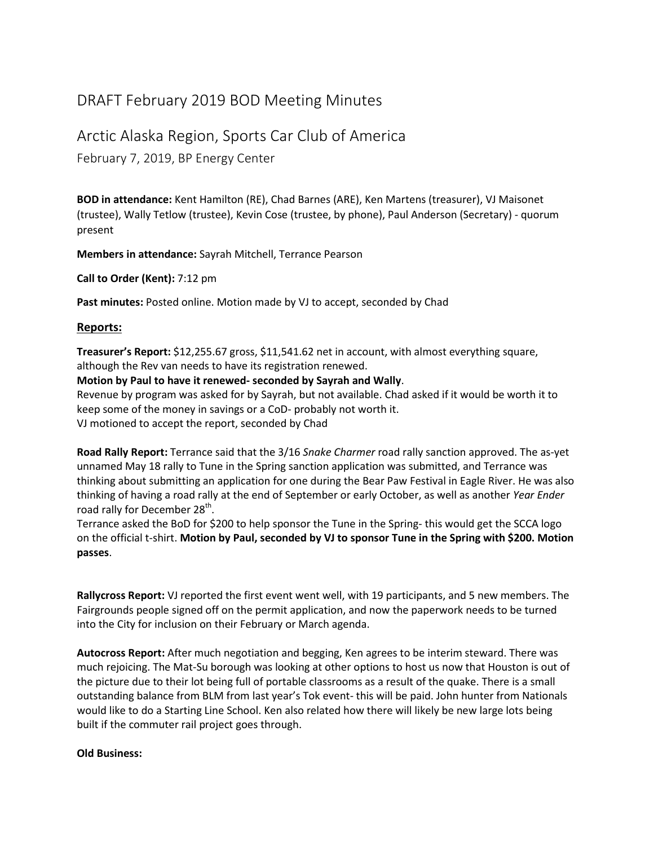## DRAFT February 2019 BOD Meeting Minutes

## Arctic Alaska Region, Sports Car Club of America

February 7, 2019, BP Energy Center

**BOD in attendance:** Kent Hamilton (RE), Chad Barnes (ARE), Ken Martens (treasurer), VJ Maisonet (trustee), Wally Tetlow (trustee), Kevin Cose (trustee, by phone), Paul Anderson (Secretary) - quorum present

**Members in attendance:** Sayrah Mitchell, Terrance Pearson

**Call to Order (Kent):** 7:12 pm

**Past minutes:** Posted online. Motion made by VJ to accept, seconded by Chad

## **Reports:**

**Treasurer's Report:** \$12,255.67 gross, \$11,541.62 net in account, with almost everything square, although the Rev van needs to have its registration renewed.

**Motion by Paul to have it renewed- seconded by Sayrah and Wally**.

Revenue by program was asked for by Sayrah, but not available. Chad asked if it would be worth it to keep some of the money in savings or a CoD- probably not worth it. VJ motioned to accept the report, seconded by Chad

**Road Rally Report:** Terrance said that the 3/16 *Snake Charmer* road rally sanction approved. The as-yet unnamed May 18 rally to Tune in the Spring sanction application was submitted, and Terrance was thinking about submitting an application for one during the Bear Paw Festival in Eagle River. He was also thinking of having a road rally at the end of September or early October, as well as another *Year Ender* road rally for December 28<sup>th</sup>.

Terrance asked the BoD for \$200 to help sponsor the Tune in the Spring- this would get the SCCA logo on the official t-shirt. **Motion by Paul, seconded by VJ to sponsor Tune in the Spring with \$200. Motion passes**.

**Rallycross Report:** VJ reported the first event went well, with 19 participants, and 5 new members. The Fairgrounds people signed off on the permit application, and now the paperwork needs to be turned into the City for inclusion on their February or March agenda.

**Autocross Report:** After much negotiation and begging, Ken agrees to be interim steward. There was much rejoicing. The Mat-Su borough was looking at other options to host us now that Houston is out of the picture due to their lot being full of portable classrooms as a result of the quake. There is a small outstanding balance from BLM from last year's Tok event- this will be paid. John hunter from Nationals would like to do a Starting Line School. Ken also related how there will likely be new large lots being built if the commuter rail project goes through.

## **Old Business:**